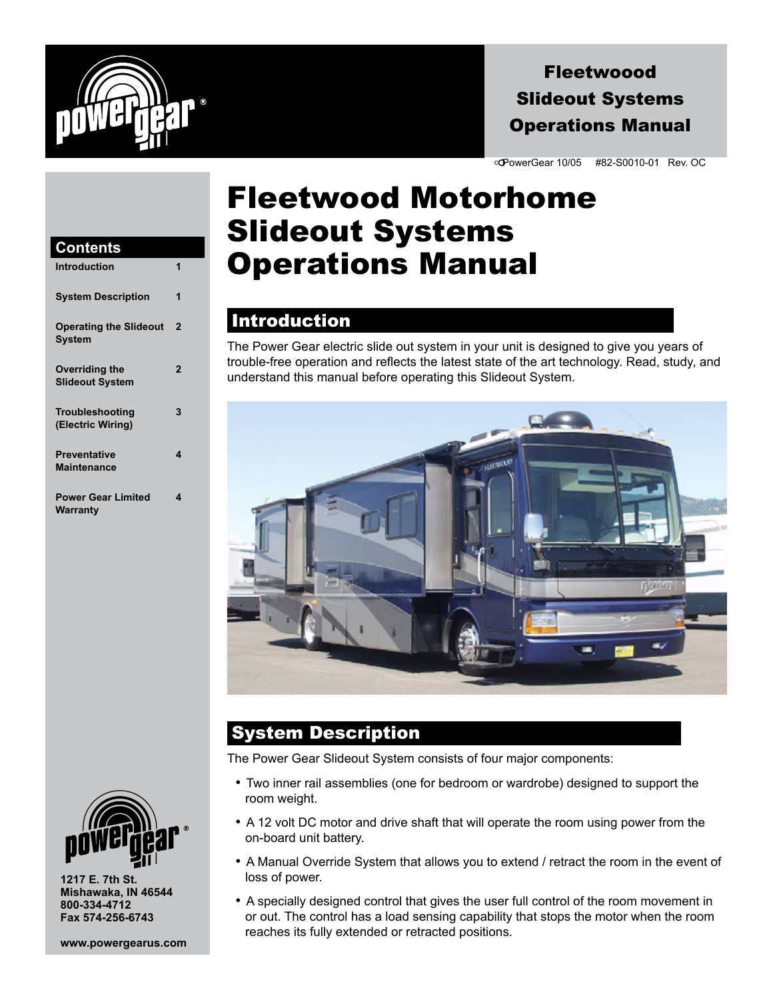

## Fleetwoood Slideout Systems Operations Manual

c PowerGear 10/05 #82-S0010-01 Rev. OC

## Fleetwood Motorhome Slideout Systems Operations Manual

### **Introduction**

The Power Gear electric slide out system in your unit is designed to give you years of trouble-free operation and reflects the latest state of the art technology. Read, study, and understand this manual before operating this Slideout System.



## System Description

The Power Gear Slideout System consists of four major components:

- Two inner rail assemblies (one for bedroom or wardrobe) designed to support the room weight.
- $\bullet$  A 12 volt DC motor and drive shaft that will operate the room using power from the on-board unit battery.
- A Manual Override System that allows you to extend / retract the room in the event of loss of power.
- A specially designed control that gives the user full control of the room movement in or out. The control has a load sensing capability that stops the motor when the room reaches its fully extended or retracted positions.

#### **Contents Introduction 1**

| 11 141 0 0 0 0 1 1 0 1 1                 |                |
|------------------------------------------|----------------|
| <b>System Description</b>                | 1              |
| <b>Operating the Slideout</b><br>System  | $\overline{2}$ |
| Overriding the<br><b>Slideout System</b> | $\overline{2}$ |
| Troubleshooting<br>(Electric Wiring)     | 3              |
| <b>Preventative</b><br>Maintenance       | 4              |
| <b>Power Gear Limited</b><br>Warranty    | 4              |



**1217 E. 7th St. Mishawaka, IN 46544 800-334-4712 Fax 574-256-6743**

**www.powergearus.com**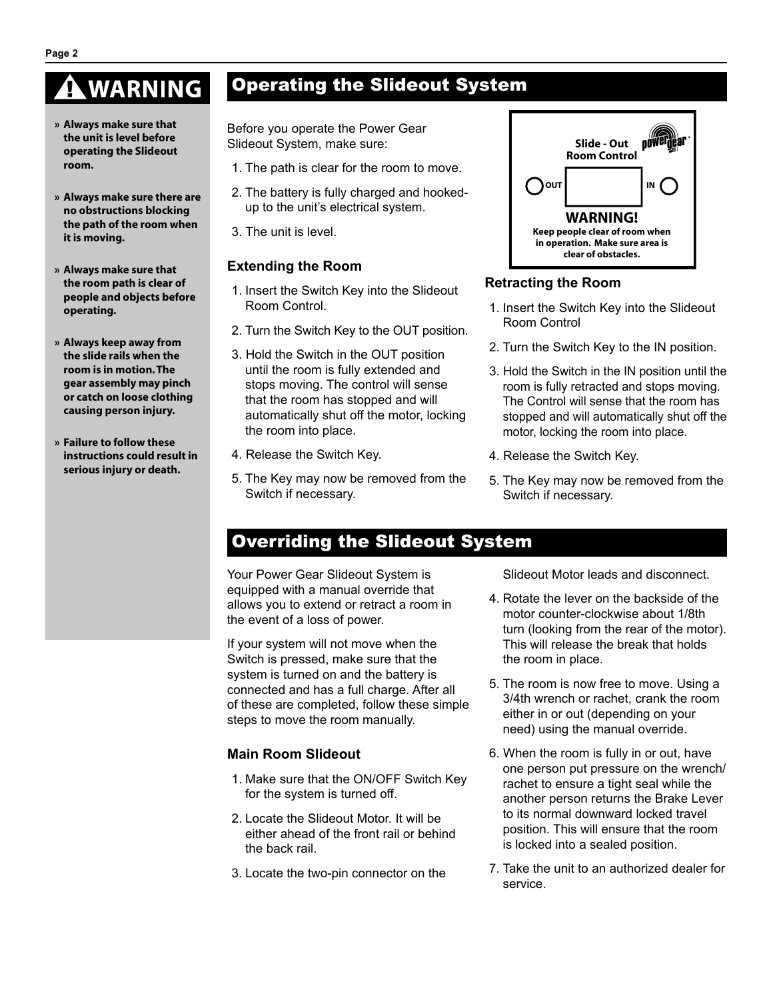# **WARNING**

- **» Always make sure that the unit is level before operating the Slideout room.**
- **» Always make sure there are no obstructions blocking the path of the room when it is moving.**
- **» Always make sure that the room path is clear of people and objects before operating.**
- **» Always keep away from the slide rails when the room is in motion.The gear assembly may pinch or catch on loose clothing causing person injury.**
- **» Failure to follow these instructions could result in serious injury or death.**

## Operating the Slideout System

Before you operate the Power Gear Slideout System, make sure:

- 1. The path is clear for the room to move.
- 2. The battery is fully charged and hookedup to the unit's electrical system.
- 3. The unit is level.

#### **Extending the Room**

- 1. Insert the Switch Key into the Slideout Room Control.
- 2. Turn the Switch Key to the OUT position.
- 3. Hold the Switch in the OUT position until the room is fully extended and stops moving. The control will sense that the room has stopped and will automatically shut off the motor, locking the room into place.
- 4. Release the Switch Key.
- 5. The Key may now be removed from the Switch if necessary.

### powerdear **Slide** - Out **Room Control OUT I WARNING! Keep people clear of room when in operation. Make sure area is clear of obstacles.**

#### **Retracting the Room**

- 1. Insert the Switch Key into the Slideout Room Control
- 2. Turn the Switch Key to the IN position.
- 3. Hold the Switch in the IN position until the room is fully retracted and stops moving. The Control will sense that the room has stopped and will automatically shut off the motor, locking the room into place.
- 4. Release the Switch Key.
- 5. The Key may now be removed from the Switch if necessary.

## Overriding the Slideout System

Your Power Gear Slideout System is equipped with a manual override that allows you to extend or retract a room in the event of a loss of power.

If your system will not move when the Switch is pressed, make sure that the system is turned on and the battery is connected and has a full charge. After all of these are completed, follow these simple steps to move the room manually.

#### **Main Room Slideout**

- 1. Make sure that the ON/OFF Switch Key for the system is turned off.
- 2. Locate the Slideout Motor. It will be either ahead of the front rail or behind the back rail.
- 3. Locate the two-pin connector on the

Slideout Motor leads and disconnect.

- 4. Rotate the lever on the backside of the motor counter-clockwise about 1/8th turn (looking from the rear of the motor). This will release the break that holds the room in place.
- 5. The room is now free to move. Using a 3/4th wrench or rachet, crank the room either in or out (depending on your need) using the manual override.
- 6. When the room is fully in or out, have one person put pressure on the wrench/ rachet to ensure a tight seal while the another person returns the Brake Lever to its normal downward locked travel position. This will ensure that the room is locked into a sealed position.
- 7. Take the unit to an authorized dealer for service.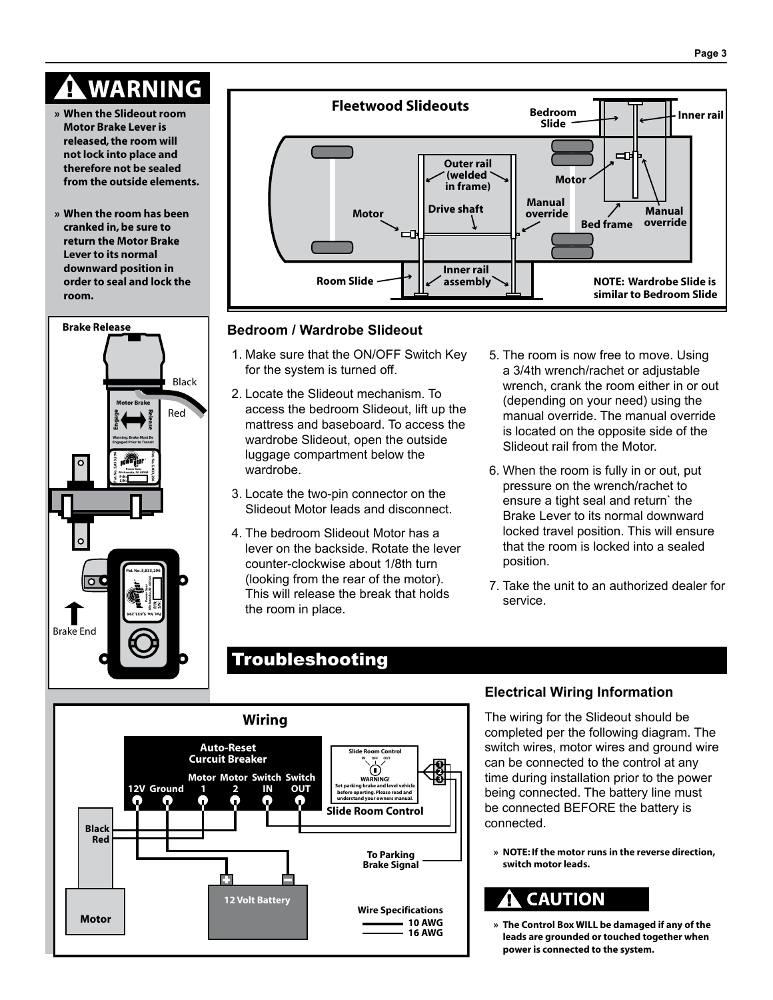



#### **Bedroom / Wardrobe Slideout**

- 1. Make sure that the ON/OFF Switch Key for the system is turned off.
- 2. Locate the Slideout mechanism. To access the bedroom Slideout, lift up the mattress and baseboard. To access the wardrobe Slideout, open the outside luggage compartment below the wardrobe.
- 3. Locate the two-pin connector on the Slideout Motor leads and disconnect.
- 4. The bedroom Slideout Motor has a lever on the backside. Rotate the lever counter-clockwise about 1/8th turn (looking from the rear of the motor). This will release the break that holds the room in place.
- 5. The room is now free to move. Using a 3/4th wrench/rachet or adjustable wrench, crank the room either in or out (depending on your need) using the manual override. The manual override is located on the opposite side of the Slideout rail from the Motor.
- 6. When the room is fully in or out, put pressure on the wrench/rachet to ensure a tight seal and return` the Brake Lever to its normal downward locked travel position. This will ensure that the room is locked into a sealed position.
- 7. Take the unit to an authorized dealer for service.

## Troubleshooting



#### **Electrical Wiring Information**

The wiring for the Slideout should be completed per the following diagram. The switch wires, motor wires and ground wire can be connected to the control at any time during installation prior to the power being connected. The battery line must be connected BEFORE the battery is connected.

**» NOTE: If the motor runs in the reverse direction, switch motor leads.**

## **CAUTION**

**» The Control Box WILL be damaged if any of the leads are grounded or touched together when power is connected to the system.**